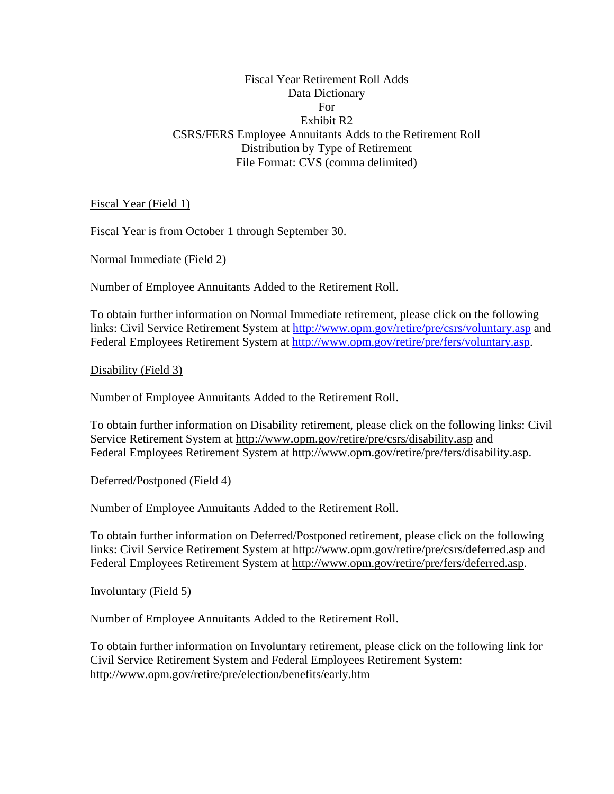# Fiscal Year Retirement Roll Adds Data Dictionary For Exhibit R2 CSRS/FERS Employee Annuitants Adds to the Retirement Roll Distribution by Type of Retirement File Format: CVS (comma delimited)

Fiscal Year (Field 1)

Fiscal Year is from October 1 through September 30.

Normal Immediate (Field 2)

Number of Employee Annuitants Added to the Retirement Roll.

To obtain further information on Normal Immediate retirement, please click on the following links: Civil Service Retirement System at<http://www.opm.gov/retire/pre/csrs/voluntary.asp>and Federal Employees Retirement System at [http://www.opm.gov/retire/pre/fers/voluntary.asp.](http://www.opm.gov/retire/pre/fers/voluntary.asp)

Disability (Field 3)

Number of Employee Annuitants Added to the Retirement Roll.

To obtain further information on Disability retirement, please click on the following links: Civil Service Retirement System at <http://www.opm.gov/retire/pre/csrs/disability.asp>and Federal Employees Retirement System at [http://www.opm.gov/retire/pre/fers/disability.asp.](http://www.opm.gov/retire/pre/fers/disability.asp)

Deferred/Postponed (Field 4)

Number of Employee Annuitants Added to the Retirement Roll.

To obtain further information on Deferred/Postponed retirement, please click on the following links: Civil Service Retirement System at<http://www.opm.gov/retire/pre/csrs/deferred.asp>and Federal Employees Retirement System at [http://www.opm.gov/retire/pre/fers/deferred.asp.](http://www.opm.gov/retire/pre/fers/deferred.asp)

Involuntary (Field 5)

Number of Employee Annuitants Added to the Retirement Roll.

To obtain further information on Involuntary retirement, please click on the following link for Civil Service Retirement System and Federal Employees Retirement System: <http://www.opm.gov/retire/pre/election/benefits/early.htm>